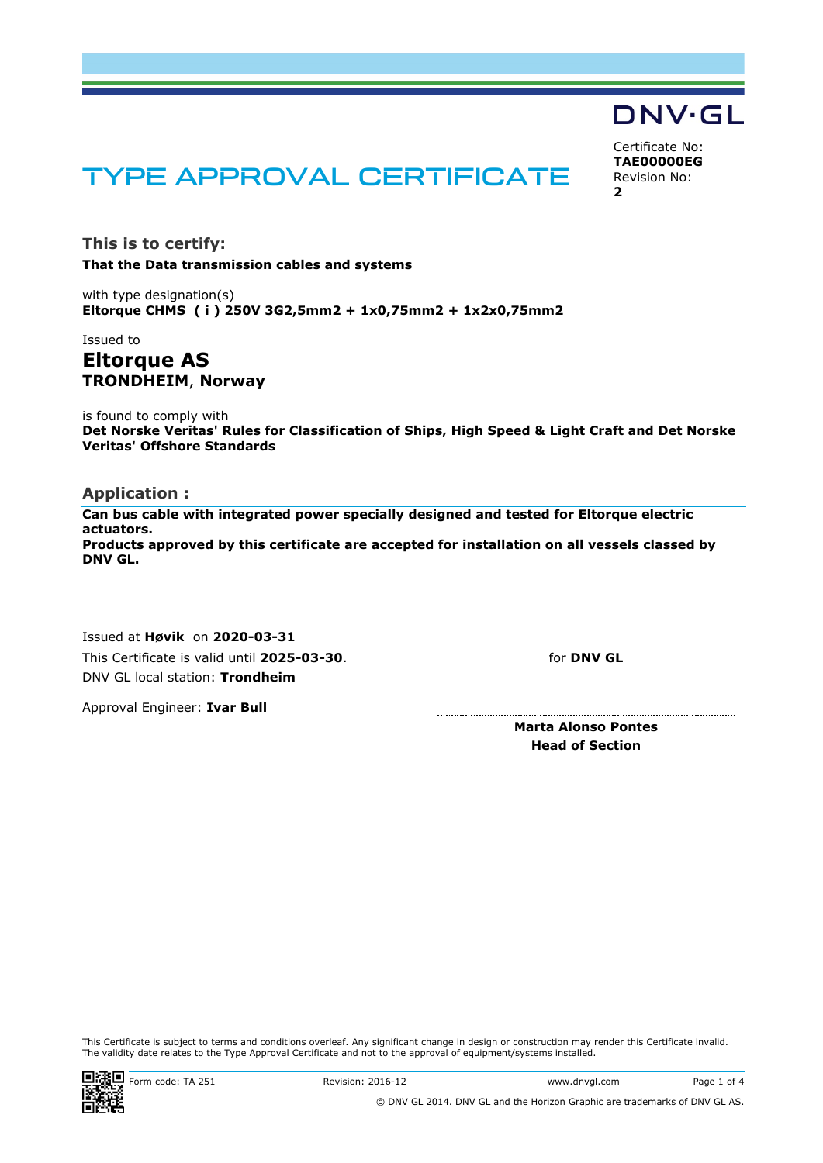# TYPE APPROVAL CERTIFICATE

**This is to certify:**

**That the Data transmission cables and systems**

with type designation(s) **Eltorque CHMS ( i ) 250V 3G2,5mm2 + 1x0,75mm2 + 1x2x0,75mm2**

# Issued to **Eltorque AS TRONDHEIM**, **Norway**

is found to comply with **Det Norske Veritas' Rules for Classification of Ships, High Speed & Light Craft and Det Norske Veritas' Offshore Standards**

#### **Application :**

**Can bus cable with integrated power specially designed and tested for Eltorque electric actuators. Products approved by this certificate are accepted for installation on all vessels classed by DNV GL.**

Issued at **Høvik** on **2020-03-31** This Certificate is valid until **2025-03-30**. DNV GL local station: **Trondheim**

for **DNV GL**

Approval Engineer: **Ivar Bull**

**Marta Alonso Pontes Head of Section**



Certificate No: **TAE00000EG** Revision No: **2**

This Certificate is subject to terms and conditions overleaf. Any significant change in design or construction may render this Certificate invalid. The validity date relates to the Type Approval Certificate and not to the approval of equipment/systems installed.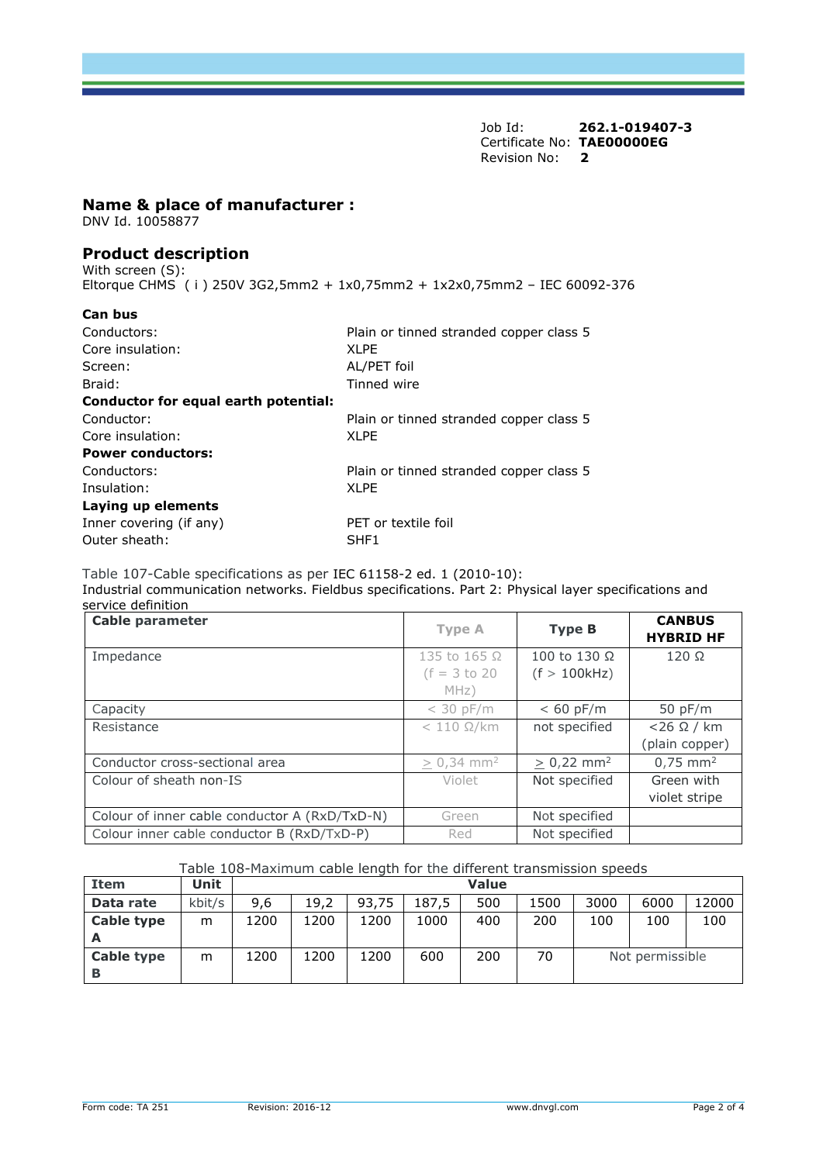Job Id: **262.1-019407-3**  Certificate No: **TAE00000EG** Revision No: **2** 

#### **Name & place of manufacturer :**

DNV Id. 10058877

## **Product description**

With screen (S): Eltorque CHMS ( i ) 250V 3G2,5mm2 + 1x0,75mm2 + 1x2x0,75mm2 – IEC 60092-376

| Can bus                              |                                         |  |  |
|--------------------------------------|-----------------------------------------|--|--|
| Conductors:                          | Plain or tinned stranded copper class 5 |  |  |
| Core insulation:                     | XI PF                                   |  |  |
| Screen:                              | AL/PET foil                             |  |  |
| Braid:                               | Tinned wire                             |  |  |
| Conductor for equal earth potential: |                                         |  |  |
| Conductor:                           | Plain or tinned stranded copper class 5 |  |  |
| Core insulation:                     | <b>XLPE</b>                             |  |  |
| <b>Power conductors:</b>             |                                         |  |  |
| Conductors:                          | Plain or tinned stranded copper class 5 |  |  |
| Insulation:                          | XI PF                                   |  |  |
| Laying up elements                   |                                         |  |  |
| Inner covering (if any)              | PET or textile foil                     |  |  |
| Outer sheath:                        | SHF1                                    |  |  |
|                                      |                                         |  |  |

Table 107-Cable specifications as per IEC 61158-2 ed. 1 (2010-10): Industrial communication networks. Fieldbus specifications. Part 2: Physical layer specifications and service definition

| <b>Cable parameter</b>                        | <b>Type A</b>            | <b>Type B</b>            | <b>CANBUS</b><br><b>HYBRID HF</b> |
|-----------------------------------------------|--------------------------|--------------------------|-----------------------------------|
| Impedance                                     | 135 to 165 $\Omega$      | 100 to 130 Ω             | $120 \Omega$                      |
|                                               | $(f = 3 to 20)$          | (f > 100kHz)             |                                   |
|                                               | MHz)                     |                          |                                   |
| Capacity                                      | $<$ 30 pF/m              | $< 60$ pF/m              | 50 pF/m                           |
| Resistance                                    | $< 110 \Omega/km$        | not specified            | $<$ 26 $\Omega$ / km              |
|                                               |                          |                          | (plain copper)                    |
| Conductor cross-sectional area                | $> 0,34$ mm <sup>2</sup> | $> 0.22$ mm <sup>2</sup> | $0,75$ mm <sup>2</sup>            |
| Colour of sheath non-IS                       | Violet                   | Not specified            | Green with                        |
|                                               |                          |                          | violet stripe                     |
| Colour of inner cable conductor A (RxD/TxD-N) | Green                    | Not specified            |                                   |
| Colour inner cable conductor B (RxD/TxD-P)    | Red                      | Not specified            |                                   |

Table 108-Maximum cable length for the different transmission speeds

| <b>Item</b>       | Unit   |      |      |       |       | <b>Value</b> |      |                 |      |       |
|-------------------|--------|------|------|-------|-------|--------------|------|-----------------|------|-------|
| Data rate         | kbit/s | 9.6  | 19,2 | 93,75 | 187.5 | 500          | 1500 | 3000            | 6000 | 12000 |
| <b>Cable type</b> | m      | 1200 | 1200 | 1200  | 1000  | 400          | 200  | 100             | 100  | 100   |
|                   |        |      |      |       |       |              |      |                 |      |       |
| <b>Cable type</b> | m      | 1200 | 1200 | 1200  | 600   | 200          | 70   | Not permissible |      |       |
| В                 |        |      |      |       |       |              |      |                 |      |       |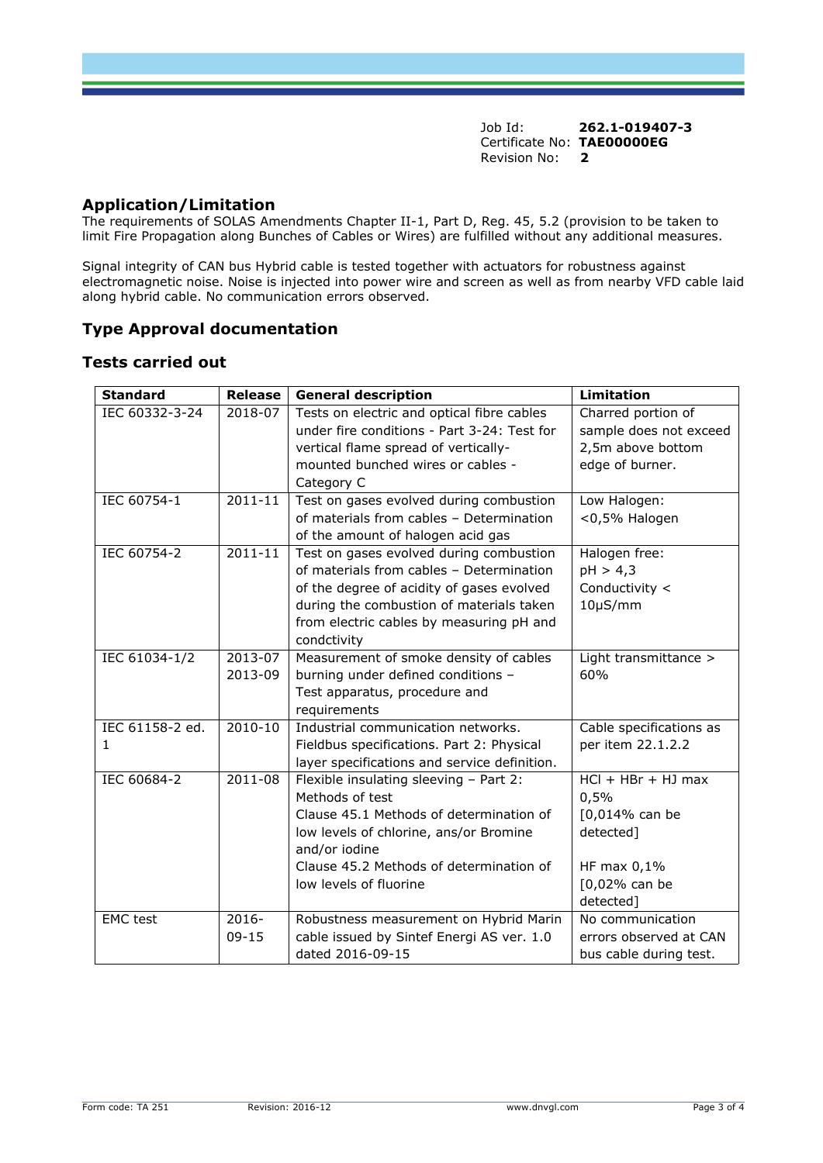Job Id: **262.1-019407-3**  Certificate No: **TAE00000EG** Revision No: **2** 

## **Application/Limitation**

The requirements of SOLAS Amendments Chapter II-1, Part D, Reg. 45, 5.2 (provision to be taken to limit Fire Propagation along Bunches of Cables or Wires) are fulfilled without any additional measures.

Signal integrity of CAN bus Hybrid cable is tested together with actuators for robustness against electromagnetic noise. Noise is injected into power wire and screen as well as from nearby VFD cable laid along hybrid cable. No communication errors observed.

# **Type Approval documentation**

## **Tests carried out**

| <b>Standard</b> | <b>Release</b> | <b>General description</b>                   | <b>Limitation</b>       |
|-----------------|----------------|----------------------------------------------|-------------------------|
| IEC 60332-3-24  | 2018-07        | Tests on electric and optical fibre cables   | Charred portion of      |
|                 |                | under fire conditions - Part 3-24: Test for  | sample does not exceed  |
|                 |                | vertical flame spread of vertically-         | 2,5m above bottom       |
|                 |                | mounted bunched wires or cables -            | edge of burner.         |
|                 |                | Category C                                   |                         |
| IEC 60754-1     | $2011 - 11$    | Test on gases evolved during combustion      | Low Halogen:            |
|                 |                | of materials from cables - Determination     | <0,5% Halogen           |
|                 |                | of the amount of halogen acid gas            |                         |
| IEC 60754-2     | $2011 - 11$    | Test on gases evolved during combustion      | Halogen free:           |
|                 |                | of materials from cables - Determination     | pH > 4,3                |
|                 |                | of the degree of acidity of gases evolved    | Conductivity <          |
|                 |                | during the combustion of materials taken     | $10\mu$ S/mm            |
|                 |                | from electric cables by measuring pH and     |                         |
|                 |                | condctivity                                  |                         |
| IEC 61034-1/2   | 2013-07        | Measurement of smoke density of cables       | Light transmittance >   |
|                 | 2013-09        | burning under defined conditions -           | 60%                     |
|                 |                | Test apparatus, procedure and                |                         |
|                 |                | requirements                                 |                         |
| IEC 61158-2 ed. | 2010-10        | Industrial communication networks.           | Cable specifications as |
| $\mathbf{1}$    |                | Fieldbus specifications. Part 2: Physical    | per item 22.1.2.2       |
|                 |                | layer specifications and service definition. |                         |
| IEC 60684-2     | 2011-08        | Flexible insulating sleeving - Part 2:       | $HCl + HBr + HJ$ max    |
|                 |                | Methods of test                              | 0,5%                    |
|                 |                | Clause 45.1 Methods of determination of      | [0,014% can be          |
|                 |                | low levels of chlorine, ans/or Bromine       | detected]               |
|                 |                | and/or iodine                                |                         |
|                 |                | Clause 45.2 Methods of determination of      | HF max $0,1\%$          |
|                 |                | low levels of fluorine                       | [0,02% can be           |
|                 |                |                                              | detected]               |
| <b>EMC</b> test | $2016 -$       | Robustness measurement on Hybrid Marin       | No communication        |
|                 | $09 - 15$      | cable issued by Sintef Energi AS ver. 1.0    | errors observed at CAN  |
|                 |                | dated 2016-09-15                             | bus cable during test.  |